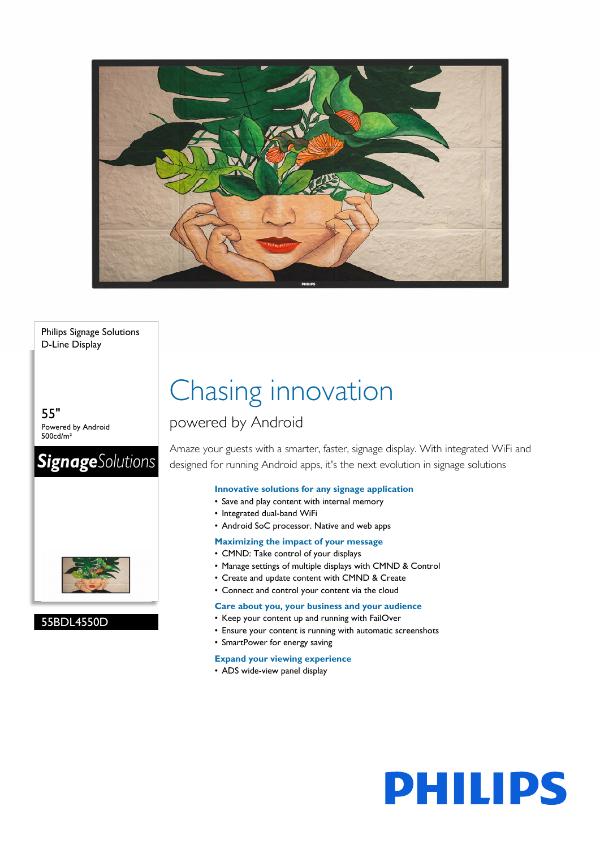

Philips Signage Solutions D-Line Display

55" Powered by Android 500cd/m²

## **SignageSolutions**



55BDL4550D

## Chasing innovation

### powered by Android

Amaze your guests with a smarter, faster, signage display. With integrated WiFi and designed for running Android apps, it's the next evolution in signage solutions

#### **Innovative solutions for any signage application**

- Save and play content with internal memory
- Integrated dual-band WiFi
- Android SoC processor. Native and web apps

#### **Maximizing the impact of your message**

- CMND: Take control of your displays
- Manage settings of multiple displays with CMND & Control
- Create and update content with CMND & Create
- Connect and control your content via the cloud

#### **Care about you, your business and your audience**

- Keep your content up and running with FailOver
- Ensure your content is running with automatic screenshots
- SmartPower for energy saving

#### **Expand your viewing experience**

• ADS wide-view panel display

# **PHILIPS**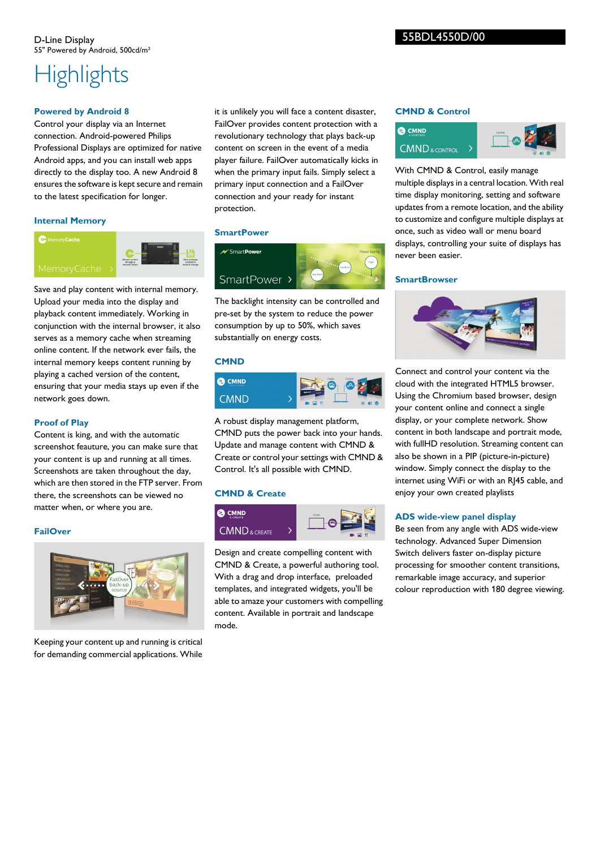## **Highlights**

#### **Powered by Android 8**

Control your display via an Internet connection. Android-powered Philips Professional Displays are optimized for native Android apps, and you can install web apps directly to the display too. A new Android 8 ensures the software is kept secure and remain to the latest specification for longer.

#### **Internal Memory**



Save and play content with internal memory. Upload your media into the display and playback content immediately. Working in conjunction with the internal browser, it also serves as a memory cache when streaming online content. If the network ever fails, the internal memory keeps content running by playing a cached version of the content, ensuring that your media stays up even if the network goes down.

#### **Proof of Play**

Content is king, and with the automatic screenshot feauture, you can make sure that your content is up and running at all times. Screenshots are taken throughout the day, which are then stored in the FTP server. From there, the screenshots can be viewed no matter when, or where you are.

#### **FailOver**



Keeping your content up and running is critical for demanding commercial applications. While

it is unlikely you will face a content disaster, FailOver provides content protection with a revolutionary technology that plays back-up content on screen in the event of a media player failure. FailOver automatically kicks in when the primary input fails. Simply select a primary input connection and a FailOver connection and your ready for instant protection.

#### **SmartPower**



The backlight intensity can be controlled and pre-set by the system to reduce the power consumption by up to 50%, which saves substantially on energy costs.

#### **CMND**



A robust display management platform, CMND puts the power back into your hands. Update and manage content with CMND & Create or control your settings with CMND & Control. It's all possible with CMND.

#### **CMND & Create**



Design and create compelling content with CMND & Create, a powerful authoring tool. With a drag and drop interface, preloaded templates, and integrated widgets, you'll be able to amaze your customers with compelling content. Available in portrait and landscape mode.

#### **CMND & Control**



With CMND & Control, easily manage multiple displays in a central location. With real time display monitoring, setting and software updates from a remote location, and the ability to customize and configure multiple displays at once, such as video wall or menu board displays, controlling your suite of displays has never been easier.

#### **SmartBrowser**



Connect and control your content via the cloud with the integrated HTML5 browser. Using the Chromium based browser, design your content online and connect a single display, or your complete network. Show content in both landscape and portrait mode, with fullHD resolution. Streaming content can also be shown in a PIP (picture-in-picture) window. Simply connect the display to the internet using WiFi or with an RJ45 cable, and enjoy your own created playlists

#### **ADS wide-view panel display**

Be seen from any angle with ADS wide-view technology. Advanced Super Dimension Switch delivers faster on-display picture processing for smoother content transitions, remarkable image accuracy, and superior colour reproduction with 180 degree viewing.